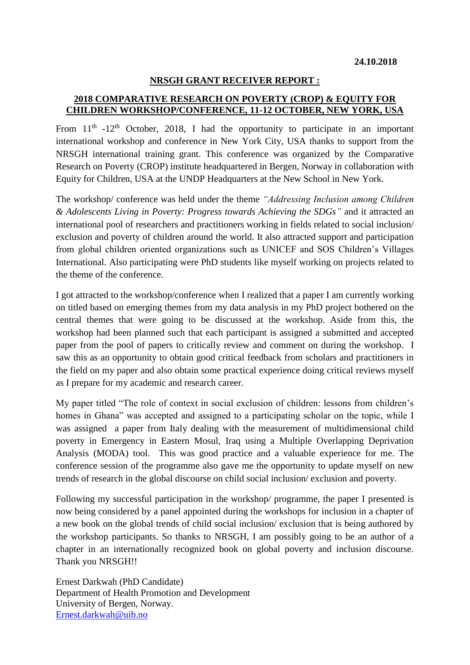## **NRSGH GRANT RECEIVER REPORT :**

## **2018 COMPARATIVE RESEARCH ON POVERTY (CROP) & EQUITY FOR CHILDREN WORKSHOP/CONFERENCE, 11-12 OCTOBER, NEW YORK, USA**

From  $11<sup>th</sup> -12<sup>th</sup>$  October, 2018, I had the opportunity to participate in an important international workshop and conference in New York City, USA thanks to support from the NRSGH international training grant. This conference was organized by the Comparative Research on Poverty (CROP) institute headquartered in Bergen, Norway in collaboration with Equity for Children, USA at the UNDP Headquarters at the New School in New York.

The workshop/ conference was held under the theme *"Addressing Inclusion among Children & Adolescents Living in Poverty: Progress towards Achieving the SDGs"* and it attracted an international pool of researchers and practitioners working in fields related to social inclusion/ exclusion and poverty of children around the world. It also attracted support and participation from global children oriented organizations such as UNICEF and SOS Children's Villages International. Also participating were PhD students like myself working on projects related to the theme of the conference.

I got attracted to the workshop/conference when I realized that a paper I am currently working on titled based on emerging themes from my data analysis in my PhD project bothered on the central themes that were going to be discussed at the workshop. Aside from this, the workshop had been planned such that each participant is assigned a submitted and accepted paper from the pool of papers to critically review and comment on during the workshop. I saw this as an opportunity to obtain good critical feedback from scholars and practitioners in the field on my paper and also obtain some practical experience doing critical reviews myself as I prepare for my academic and research career.

My paper titled "The role of context in social exclusion of children: lessons from children's homes in Ghana" was accepted and assigned to a participating scholar on the topic, while I was assigned a paper from Italy dealing with the measurement of multidimensional child poverty in Emergency in Eastern Mosul, Iraq using a Multiple Overlapping Deprivation Analysis (MODA) tool. This was good practice and a valuable experience for me. The conference session of the programme also gave me the opportunity to update myself on new trends of research in the global discourse on child social inclusion/ exclusion and poverty.

Following my successful participation in the workshop/ programme, the paper I presented is now being considered by a panel appointed during the workshops for inclusion in a chapter of a new book on the global trends of child social inclusion/ exclusion that is being authored by the workshop participants. So thanks to NRSGH, I am possibly going to be an author of a chapter in an internationally recognized book on global poverty and inclusion discourse. Thank you NRSGH!!

Ernest Darkwah (PhD Candidate) Department of Health Promotion and Development University of Bergen, Norway. [Ernest.darkwah@uib.no](mailto:Ernest.darkwah@uib.no)